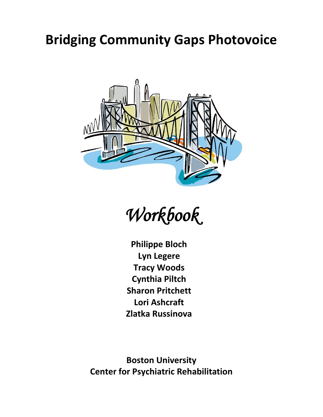# **Bridging Community Gaps Photovoice**



Workbook

**Philippe Bloch Lyn Legere Tracy Woods Cynthia Piltch Sharon Pritchett Lori Ashcraft Zlatka Russinova**

**Boston University Center for Psychiatric Rehabilitation**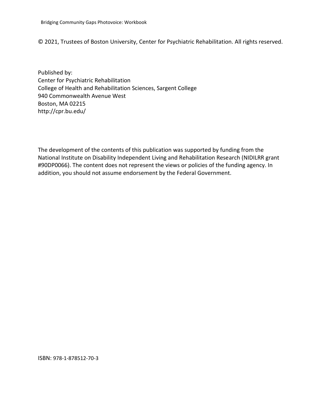© 2021, Trustees of Boston University, Center for Psychiatric Rehabilitation. All rights reserved.

Published by: Center for Psychiatric Rehabilitation College of Health and Rehabilitation Sciences, Sargent College 940 Commonwealth Avenue West Boston, MA 02215 http://cpr.bu.edu/

The development of the contents of this publication was supported by funding from the National Institute on Disability Independent Living and Rehabilitation Research (NIDILRR grant #90DP0066). The content does not represent the views or policies of the funding agency. In addition, you should not assume endorsement by the Federal Government.

ISBN: 978-1-878512-70-3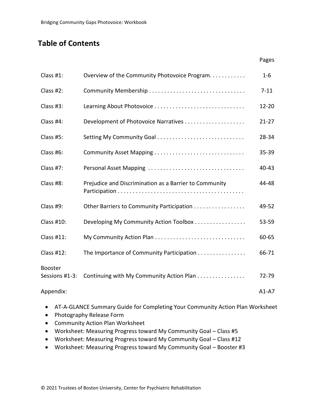# **Table of Contents**

| Class #1:                        | Overview of the Community Photovoice Program.          | $1 - 6$   |
|----------------------------------|--------------------------------------------------------|-----------|
| Class #2:                        | Community Membership                                   | $7 - 11$  |
| Class #3:                        | Learning About Photovoice                              | $12 - 20$ |
| Class #4:                        | Development of Photovoice Narratives                   | $21 - 27$ |
| Class #5:                        | Setting My Community Goal                              | 28-34     |
| Class #6:                        | Community Asset Mapping                                | 35-39     |
| Class #7:                        | Personal Asset Mapping                                 | 40-43     |
| Class #8:                        | Prejudice and Discrimination as a Barrier to Community | 44-48     |
| Class #9:                        | Other Barriers to Community Participation              | 49-52     |
| <b>Class #10:</b>                | Developing My Community Action Toolbox                 | 53-59     |
| Class #11:                       |                                                        | 60-65     |
| <b>Class #12:</b>                | The Importance of Community Participation              | 66-71     |
| <b>Booster</b><br>Sessions #1-3: | Continuing with My Community Action Plan               | 72-79     |
| Appendix:                        |                                                        | $A1-A7$   |

Pages

- AT-A-GLANCE Summary Guide for Completing Your Community Action Plan Worksheet
- Photography Release Form
- Community Action Plan Worksheet
- Worksheet: Measuring Progress toward My Community Goal Class #5
- Worksheet: Measuring Progress toward My Community Goal Class #12
- Worksheet: Measuring Progress toward My Community Goal Booster #3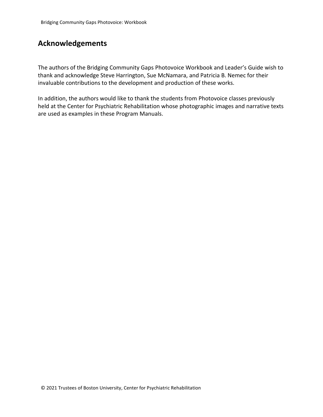# **Acknowledgements**

The authors of the Bridging Community Gaps Photovoice Workbook and Leader's Guide wish to thank and acknowledge Steve Harrington, Sue McNamara, and Patricia B. Nemec for their invaluable contributions to the development and production of these works.

In addition, the authors would like to thank the students from Photovoice classes previously held at the Center for Psychiatric Rehabilitation whose photographic images and narrative texts are used as examples in these Program Manuals.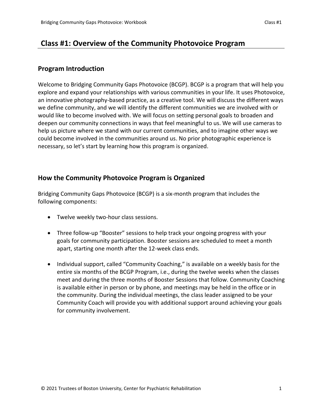## **Class #1: Overview of the Community Photovoice Program**

#### **Program Introduction**

Welcome to Bridging Community Gaps Photovoice (BCGP). BCGP is a program that will help you explore and expand your relationships with various communities in your life. It uses Photovoice, an innovative photography-based practice, as a creative tool. We will discuss the different ways we define community, and we will identify the different communities we are involved with or would like to become involved with. We will focus on setting personal goals to broaden and deepen our community connections in ways that feel meaningful to us. We will use cameras to help us picture where we stand with our current communities, and to imagine other ways we could become involved in the communities around us. No prior photographic experience is necessary, so let's start by learning how this program is organized.

### **How the Community Photovoice Program is Organized**

Bridging Community Gaps Photovoice (BCGP) is a six-month program that includes the following components:

- Twelve weekly two-hour class sessions.
- Three follow-up "Booster" sessions to help track your ongoing progress with your goals for community participation. Booster sessions are scheduled to meet a month apart, starting one month after the 12-week class ends.
- Individual support, called "Community Coaching," is available on a weekly basis for the entire six months of the BCGP Program, i.e., during the twelve weeks when the classes meet and during the three months of Booster Sessions that follow. Community Coaching is available either in person or by phone, and meetings may be held in the office or in the community. During the individual meetings, the class leader assigned to be your Community Coach will provide you with additional support around achieving your goals for community involvement.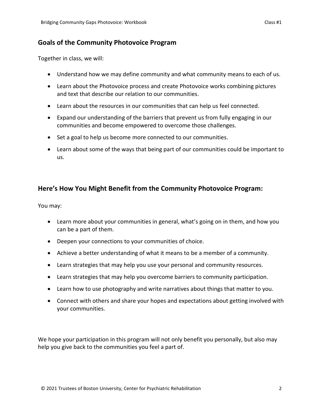## **Goals of the Community Photovoice Program**

Together in class, we will:

- Understand how we may define community and what community means to each of us.
- Learn about the Photovoice process and create Photovoice works combining pictures and text that describe our relation to our communities.
- Learn about the resources in our communities that can help us feel connected.
- Expand our understanding of the barriers that prevent us from fully engaging in our communities and become empowered to overcome those challenges.
- Set a goal to help us become more connected to our communities.
- Learn about some of the ways that being part of our communities could be important to us.

## **Here's How You Might Benefit from the Community Photovoice Program:**

You may:

- Learn more about your communities in general, what's going on in them, and how you can be a part of them.
- Deepen your connections to your communities of choice.
- Achieve a better understanding of what it means to be a member of a community.
- Learn strategies that may help you use your personal and community resources.
- Learn strategies that may help you overcome barriers to community participation.
- Learn how to use photography and write narratives about things that matter to you.
- Connect with others and share your hopes and expectations about getting involved with your communities.

We hope your participation in this program will not only benefit you personally, but also may help you give back to the communities you feel a part of.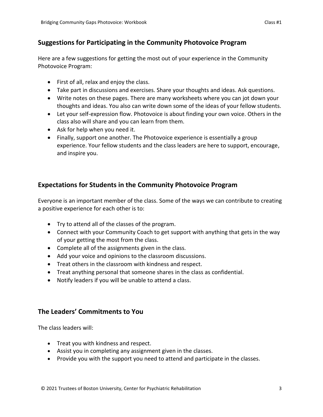## **Suggestions for Participating in the Community Photovoice Program**

Here are a few suggestions for getting the most out of your experience in the Community Photovoice Program:

- First of all, relax and enjoy the class.
- Take part in discussions and exercises. Share your thoughts and ideas. Ask questions.
- Write notes on these pages. There are many worksheets where you can jot down your thoughts and ideas. You also can write down some of the ideas of your fellow students.
- Let your self-expression flow. Photovoice is about finding your own voice. Others in the class also will share and you can learn from them.
- Ask for help when you need it.
- Finally, support one another. The Photovoice experience is essentially a group experience. Your fellow students and the class leaders are here to support, encourage, and inspire you.

## **Expectations for Students in the Community Photovoice Program**

Everyone is an important member of the class. Some of the ways we can contribute to creating a positive experience for each other is to:

- Try to attend all of the classes of the program.
- Connect with your Community Coach to get support with anything that gets in the way of your getting the most from the class.
- Complete all of the assignments given in the class.
- Add your voice and opinions to the classroom discussions.
- Treat others in the classroom with kindness and respect.
- Treat anything personal that someone shares in the class as confidential.
- Notify leaders if you will be unable to attend a class.

## **The Leaders' Commitments to You**

The class leaders will:

- Treat you with kindness and respect.
- Assist you in completing any assignment given in the classes.
- Provide you with the support you need to attend and participate in the classes.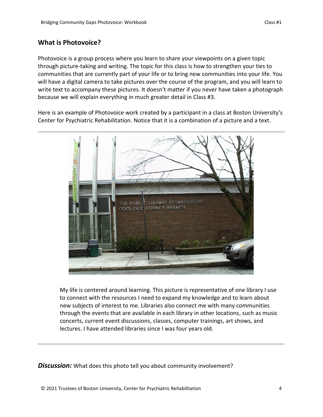## **What is Photovoice?**

Photovoice is a group process where you learn to share your viewpoints on a given topic through picture-taking and writing. The topic for this class is how to strengthen your ties to communities that are currently part of your life or to bring new communities into your life. You will have a digital camera to take pictures over the course of the program, and you will learn to write text to accompany these pictures. It doesn't matter if you never have taken a photograph because we will explain everything in much greater detail in Class #3.

Here is an example of Photovoice work created by a participant in a class at Boston University's Center for Psychiatric Rehabilitation. Notice that it is a combination of a picture and a text.



My life is centered around learning. This picture is representative of one library I use to connect with the resources I need to expand my knowledge and to learn about new subjects of interest to me. Libraries also connect me with many communities through the events that are available in each library in other locations, such as music concerts, current event discussions, classes, computer trainings, art shows, and lectures. I have attended libraries since I was four years old.

**Discussion:** What does this photo tell you about community involvement?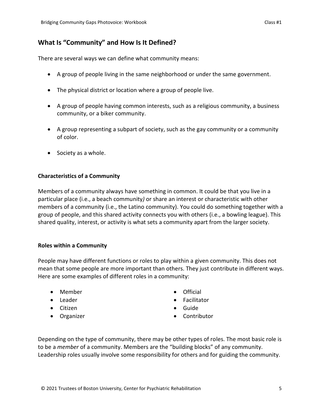## **What Is "Community" and How Is It Defined?**

There are several ways we can define what community means:

- A group of people living in the same neighborhood or under the same government.
- The physical district or location where a group of people live.
- A group of people having common interests, such as a religious community, a business community, or a biker community.
- A group representing a subpart of society, such as the gay community or a community of color.
- Society as a whole.

#### **Characteristics of a Community**

Members of a community always have something in common. It could be that you live in a particular place (i.e., a beach community*)* or share an interest or characteristic with other members of a community (i.e., the Latino community). You could do something together with a group of people, and this shared activity connects you with others (i.e., a bowling league). This shared quality, interest, or activity is what sets a community apart from the larger society.

#### **Roles within a Community**

People may have different functions or roles to play within a given community. This does not mean that some people are more important than others. They just contribute in different ways. Here are some examples of different roles in a community:

- Member
- Leader
- Citizen
- Organizer
- Official
- **•** Facilitator
- Guide
- Contributor

Depending on the type of community, there may be other types of roles. The most basic role is to be a *member* of a community. Members are the "building blocks" of any community. Leadership roles usually involve some responsibility for others and for guiding the community.